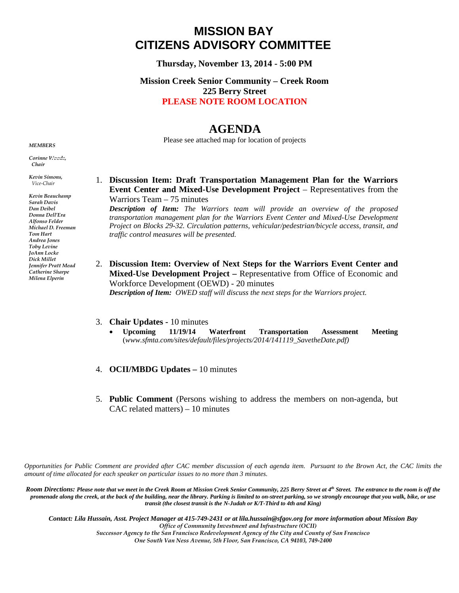## **MISSION BAY CITIZENS ADVISORY COMMITTEE**

**Thursday, November 13, 2014 - 5:00 PM** 

## **Mission Creek Senior Community – Creek Room 225 Berry Street PLEASE NOTE ROOM LOCATION**

## **AGENDA**

Please see attached map for location of projects

*Corinne Woods, Chair* 

*MEMBERS* 

*Kevin Simons, Vice-Chair* 

*Kevin Beauchamp Sarah Davis Dan Deibel Donna Dell'Era Alfonso Felder Michael D. Freeman Tom Hart Andrea Jones Toby Levine JoAnn Locke Dick Millet Jennifer Pratt Mead Catherine Sharpe Milena Elperin*

1. **Discussion Item: Draft Transportation Management Plan for the Warriors Event Center and Mixed-Use Development Project** – Representatives from the Warriors Team – 75 minutes

*Description of Item: The Warriors team will provide an overview of the proposed transportation management plan for the Warriors Event Center and Mixed-Use Development Project on Blocks 29-32. Circulation patterns, vehicular/pedestrian/bicycle access, transit, and traffic control measures will be presented.* 

2. **Discussion Item: Overview of Next Steps for the Warriors Event Center and Mixed-Use Development Project –** Representative from Office of Economic and Workforce Development (OEWD) - 20 minutes *Description of Item: OWED staff will discuss the next steps for the Warriors project.* 

## 3. **Chair Updates -** 10 minutes

- **Upcoming 11/19/14 Waterfront Transportation Assessment Meeting** (*www.sfmta.com/sites/default/files/projects/2014/141119\_SavetheDate.pdf)*
- 4. **OCII/MBDG Updates –** 10 minutes
- 5. **Public Comment** (Persons wishing to address the members on non-agenda, but CAC related matters) – 10 minutes

*Opportunities for Public Comment are provided after CAC member discussion of each agenda item. Pursuant to the Brown Act, the CAC limits the amount of time allocated for each speaker on particular issues to no more than 3 minutes.* 

Room Directions: Please note that we meet in the Creek Room at Mission Creek Senior Community, 225 Berry Street at 4<sup>th</sup> Street. The entrance to the room is off the *promenade along the creek, at the back of the building, near the library. Parking is limited to on-street parking, so we strongly encourage that you walk, bike, or use transit (the closest transit is the N-Judah or K/T-Third to 4th and King)*

*Contact: Lila Hussain, Asst. Project Manager at 415-749-2431 or at lila.hussain@sfgov.org for more information about Mission Bay Office of Community Investment and Infrastructure (OCII) Successor Agency to the San Francisco Redevelopment Agency of the City and County of San Francisco One South Van Ness Avenue, 5th Floor, San Francisco, CA 94103, 749-2400*